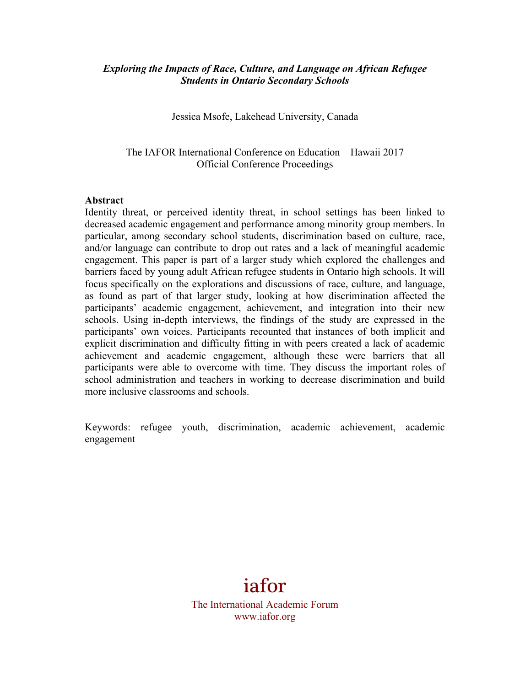### *Exploring the Impacts of Race, Culture, and Language on African Refugee Students in Ontario Secondary Schools*

Jessica Msofe, Lakehead University, Canada

The IAFOR International Conference on Education – Hawaii 2017 Official Conference Proceedings

#### **Abstract**

Identity threat, or perceived identity threat, in school settings has been linked to decreased academic engagement and performance among minority group members. In particular, among secondary school students, discrimination based on culture, race, and/or language can contribute to drop out rates and a lack of meaningful academic engagement. This paper is part of a larger study which explored the challenges and barriers faced by young adult African refugee students in Ontario high schools. It will focus specifically on the explorations and discussions of race, culture, and language, as found as part of that larger study, looking at how discrimination affected the participants' academic engagement, achievement, and integration into their new schools. Using in-depth interviews, the findings of the study are expressed in the participants' own voices. Participants recounted that instances of both implicit and explicit discrimination and difficulty fitting in with peers created a lack of academic achievement and academic engagement, although these were barriers that all participants were able to overcome with time. They discuss the important roles of school administration and teachers in working to decrease discrimination and build more inclusive classrooms and schools.

Keywords: refugee youth, discrimination, academic achievement, academic engagement

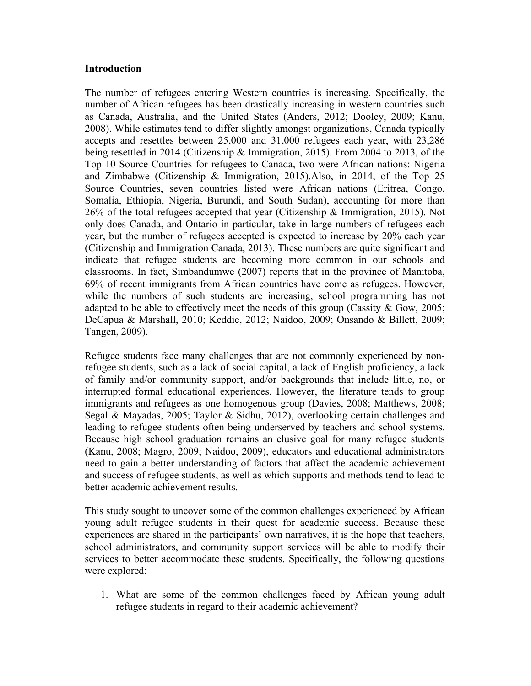#### **Introduction**

The number of refugees entering Western countries is increasing. Specifically, the number of African refugees has been drastically increasing in western countries such as Canada, Australia, and the United States (Anders, 2012; Dooley, 2009; Kanu, 2008). While estimates tend to differ slightly amongst organizations, Canada typically accepts and resettles between 25,000 and 31,000 refugees each year, with 23,286 being resettled in 2014 (Citizenship & Immigration, 2015). From 2004 to 2013, of the Top 10 Source Countries for refugees to Canada, two were African nations: Nigeria and Zimbabwe (Citizenship & Immigration, 2015).Also, in 2014, of the Top 25 Source Countries, seven countries listed were African nations (Eritrea, Congo, Somalia, Ethiopia, Nigeria, Burundi, and South Sudan), accounting for more than 26% of the total refugees accepted that year (Citizenship & Immigration, 2015). Not only does Canada, and Ontario in particular, take in large numbers of refugees each year, but the number of refugees accepted is expected to increase by 20% each year (Citizenship and Immigration Canada, 2013). These numbers are quite significant and indicate that refugee students are becoming more common in our schools and classrooms. In fact, Simbandumwe (2007) reports that in the province of Manitoba, 69% of recent immigrants from African countries have come as refugees. However, while the numbers of such students are increasing, school programming has not adapted to be able to effectively meet the needs of this group (Cassity & Gow, 2005; DeCapua & Marshall, 2010; Keddie, 2012; Naidoo, 2009; Onsando & Billett, 2009; Tangen, 2009).

Refugee students face many challenges that are not commonly experienced by nonrefugee students, such as a lack of social capital, a lack of English proficiency, a lack of family and/or community support, and/or backgrounds that include little, no, or interrupted formal educational experiences. However, the literature tends to group immigrants and refugees as one homogenous group (Davies, 2008; Matthews, 2008; Segal & Mayadas, 2005; Taylor & Sidhu, 2012), overlooking certain challenges and leading to refugee students often being underserved by teachers and school systems. Because high school graduation remains an elusive goal for many refugee students (Kanu, 2008; Magro, 2009; Naidoo, 2009), educators and educational administrators need to gain a better understanding of factors that affect the academic achievement and success of refugee students, as well as which supports and methods tend to lead to better academic achievement results.

This study sought to uncover some of the common challenges experienced by African young adult refugee students in their quest for academic success. Because these experiences are shared in the participants' own narratives, it is the hope that teachers, school administrators, and community support services will be able to modify their services to better accommodate these students. Specifically, the following questions were explored:

1. What are some of the common challenges faced by African young adult refugee students in regard to their academic achievement?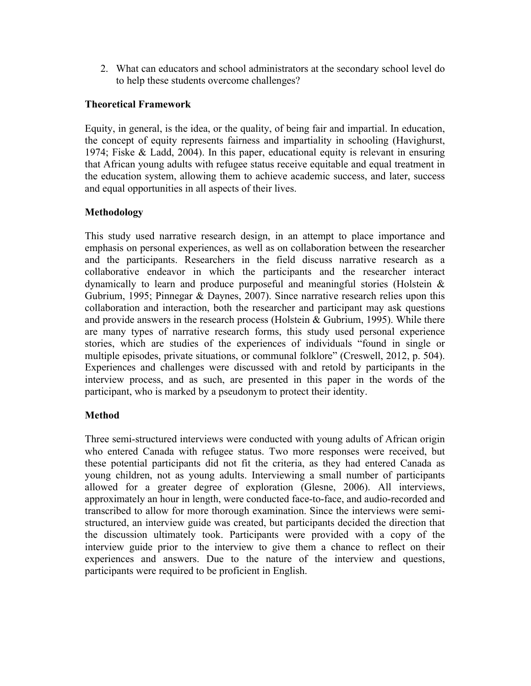2. What can educators and school administrators at the secondary school level do to help these students overcome challenges?

### **Theoretical Framework**

Equity, in general, is the idea, or the quality, of being fair and impartial. In education, the concept of equity represents fairness and impartiality in schooling (Havighurst, 1974; Fiske & Ladd, 2004). In this paper, educational equity is relevant in ensuring that African young adults with refugee status receive equitable and equal treatment in the education system, allowing them to achieve academic success, and later, success and equal opportunities in all aspects of their lives.

## **Methodology**

This study used narrative research design, in an attempt to place importance and emphasis on personal experiences, as well as on collaboration between the researcher and the participants. Researchers in the field discuss narrative research as a collaborative endeavor in which the participants and the researcher interact dynamically to learn and produce purposeful and meaningful stories (Holstein & Gubrium, 1995; Pinnegar & Daynes, 2007). Since narrative research relies upon this collaboration and interaction, both the researcher and participant may ask questions and provide answers in the research process (Holstein & Gubrium, 1995). While there are many types of narrative research forms, this study used personal experience stories, which are studies of the experiences of individuals "found in single or multiple episodes, private situations, or communal folklore" (Creswell, 2012, p. 504). Experiences and challenges were discussed with and retold by participants in the interview process, and as such, are presented in this paper in the words of the participant, who is marked by a pseudonym to protect their identity.

# **Method**

Three semi-structured interviews were conducted with young adults of African origin who entered Canada with refugee status. Two more responses were received, but these potential participants did not fit the criteria, as they had entered Canada as young children, not as young adults. Interviewing a small number of participants allowed for a greater degree of exploration (Glesne, 2006). All interviews, approximately an hour in length, were conducted face-to-face, and audio-recorded and transcribed to allow for more thorough examination. Since the interviews were semistructured, an interview guide was created, but participants decided the direction that the discussion ultimately took. Participants were provided with a copy of the interview guide prior to the interview to give them a chance to reflect on their experiences and answers. Due to the nature of the interview and questions, participants were required to be proficient in English.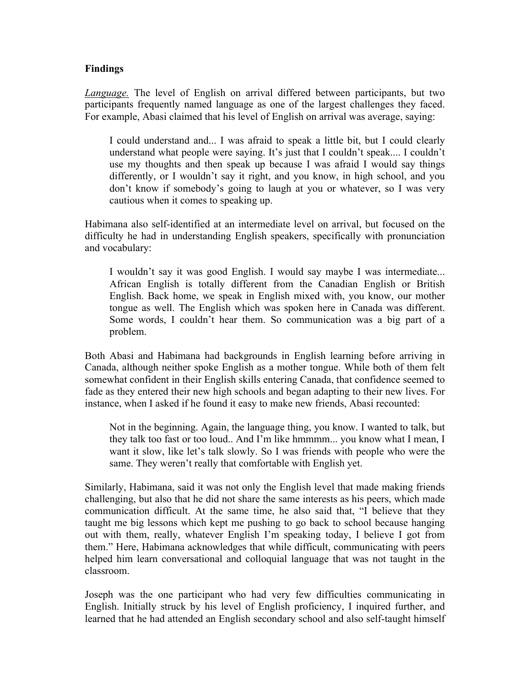### **Findings**

*Language.* The level of English on arrival differed between participants, but two participants frequently named language as one of the largest challenges they faced. For example, Abasi claimed that his level of English on arrival was average, saying:

I could understand and... I was afraid to speak a little bit, but I could clearly understand what people were saying. It's just that I couldn't speak.... I couldn't use my thoughts and then speak up because I was afraid I would say things differently, or I wouldn't say it right, and you know, in high school, and you don't know if somebody's going to laugh at you or whatever, so I was very cautious when it comes to speaking up.

Habimana also self-identified at an intermediate level on arrival, but focused on the difficulty he had in understanding English speakers, specifically with pronunciation and vocabulary:

I wouldn't say it was good English. I would say maybe I was intermediate... African English is totally different from the Canadian English or British English. Back home, we speak in English mixed with, you know, our mother tongue as well. The English which was spoken here in Canada was different. Some words, I couldn't hear them. So communication was a big part of a problem.

Both Abasi and Habimana had backgrounds in English learning before arriving in Canada, although neither spoke English as a mother tongue. While both of them felt somewhat confident in their English skills entering Canada, that confidence seemed to fade as they entered their new high schools and began adapting to their new lives. For instance, when I asked if he found it easy to make new friends, Abasi recounted:

Not in the beginning. Again, the language thing, you know. I wanted to talk, but they talk too fast or too loud.. And I'm like hmmmm... you know what I mean, I want it slow, like let's talk slowly. So I was friends with people who were the same. They weren't really that comfortable with English yet.

Similarly, Habimana, said it was not only the English level that made making friends challenging, but also that he did not share the same interests as his peers, which made communication difficult. At the same time, he also said that, "I believe that they taught me big lessons which kept me pushing to go back to school because hanging out with them, really, whatever English I'm speaking today, I believe I got from them." Here, Habimana acknowledges that while difficult, communicating with peers helped him learn conversational and colloquial language that was not taught in the classroom.

Joseph was the one participant who had very few difficulties communicating in English. Initially struck by his level of English proficiency, I inquired further, and learned that he had attended an English secondary school and also self-taught himself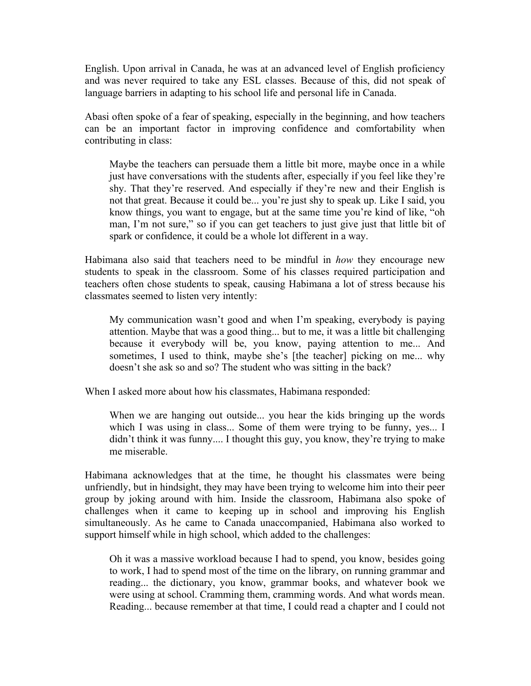English. Upon arrival in Canada, he was at an advanced level of English proficiency and was never required to take any ESL classes. Because of this, did not speak of language barriers in adapting to his school life and personal life in Canada.

Abasi often spoke of a fear of speaking, especially in the beginning, and how teachers can be an important factor in improving confidence and comfortability when contributing in class:

Maybe the teachers can persuade them a little bit more, maybe once in a while just have conversations with the students after, especially if you feel like they're shy. That they're reserved. And especially if they're new and their English is not that great. Because it could be... you're just shy to speak up. Like I said, you know things, you want to engage, but at the same time you're kind of like, "oh man, I'm not sure," so if you can get teachers to just give just that little bit of spark or confidence, it could be a whole lot different in a way.

Habimana also said that teachers need to be mindful in *how* they encourage new students to speak in the classroom. Some of his classes required participation and teachers often chose students to speak, causing Habimana a lot of stress because his classmates seemed to listen very intently:

My communication wasn't good and when I'm speaking, everybody is paying attention. Maybe that was a good thing... but to me, it was a little bit challenging because it everybody will be, you know, paying attention to me... And sometimes, I used to think, maybe she's [the teacher] picking on me... why doesn't she ask so and so? The student who was sitting in the back?

When I asked more about how his classmates, Habimana responded:

When we are hanging out outside... you hear the kids bringing up the words which I was using in class... Some of them were trying to be funny, yes... I didn't think it was funny.... I thought this guy, you know, they're trying to make me miserable.

Habimana acknowledges that at the time, he thought his classmates were being unfriendly, but in hindsight, they may have been trying to welcome him into their peer group by joking around with him. Inside the classroom, Habimana also spoke of challenges when it came to keeping up in school and improving his English simultaneously. As he came to Canada unaccompanied, Habimana also worked to support himself while in high school, which added to the challenges:

Oh it was a massive workload because I had to spend, you know, besides going to work, I had to spend most of the time on the library, on running grammar and reading... the dictionary, you know, grammar books, and whatever book we were using at school. Cramming them, cramming words. And what words mean. Reading... because remember at that time, I could read a chapter and I could not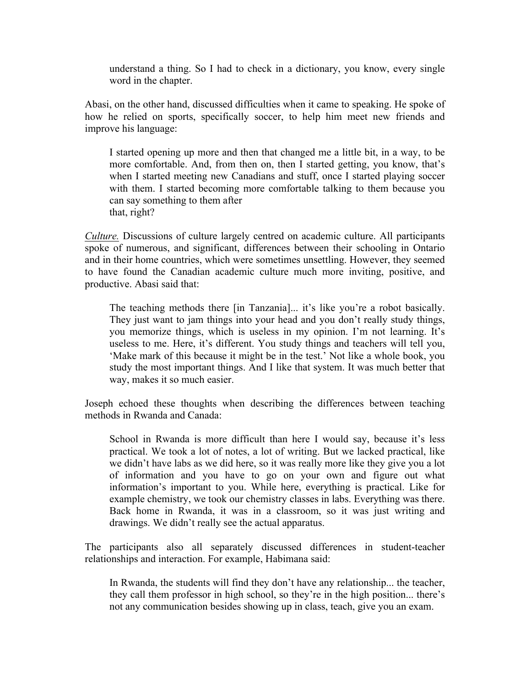understand a thing. So I had to check in a dictionary, you know, every single word in the chapter.

Abasi, on the other hand, discussed difficulties when it came to speaking. He spoke of how he relied on sports, specifically soccer, to help him meet new friends and improve his language:

I started opening up more and then that changed me a little bit, in a way, to be more comfortable. And, from then on, then I started getting, you know, that's when I started meeting new Canadians and stuff, once I started playing soccer with them. I started becoming more comfortable talking to them because you can say something to them after that, right?

*Culture.* Discussions of culture largely centred on academic culture. All participants spoke of numerous, and significant, differences between their schooling in Ontario and in their home countries, which were sometimes unsettling. However, they seemed to have found the Canadian academic culture much more inviting, positive, and productive. Abasi said that:

The teaching methods there [in Tanzania]... it's like you're a robot basically. They just want to jam things into your head and you don't really study things, you memorize things, which is useless in my opinion. I'm not learning. It's useless to me. Here, it's different. You study things and teachers will tell you, 'Make mark of this because it might be in the test.' Not like a whole book, you study the most important things. And I like that system. It was much better that way, makes it so much easier.

Joseph echoed these thoughts when describing the differences between teaching methods in Rwanda and Canada:

School in Rwanda is more difficult than here I would say, because it's less practical. We took a lot of notes, a lot of writing. But we lacked practical, like we didn't have labs as we did here, so it was really more like they give you a lot of information and you have to go on your own and figure out what information's important to you. While here, everything is practical. Like for example chemistry, we took our chemistry classes in labs. Everything was there. Back home in Rwanda, it was in a classroom, so it was just writing and drawings. We didn't really see the actual apparatus.

The participants also all separately discussed differences in student-teacher relationships and interaction. For example, Habimana said:

In Rwanda, the students will find they don't have any relationship... the teacher, they call them professor in high school, so they're in the high position... there's not any communication besides showing up in class, teach, give you an exam.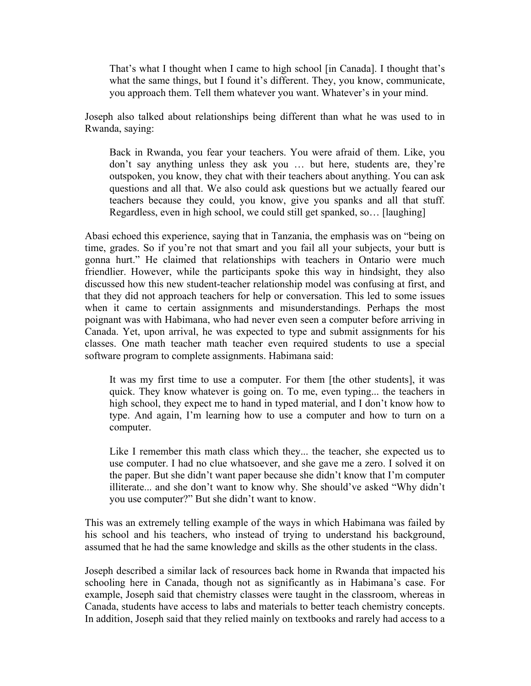That's what I thought when I came to high school [in Canada]. I thought that's what the same things, but I found it's different. They, you know, communicate, you approach them. Tell them whatever you want. Whatever's in your mind.

Joseph also talked about relationships being different than what he was used to in Rwanda, saying:

Back in Rwanda, you fear your teachers. You were afraid of them. Like, you don't say anything unless they ask you … but here, students are, they're outspoken, you know, they chat with their teachers about anything. You can ask questions and all that. We also could ask questions but we actually feared our teachers because they could, you know, give you spanks and all that stuff. Regardless, even in high school, we could still get spanked, so… [laughing]

Abasi echoed this experience, saying that in Tanzania, the emphasis was on "being on time, grades. So if you're not that smart and you fail all your subjects, your butt is gonna hurt." He claimed that relationships with teachers in Ontario were much friendlier. However, while the participants spoke this way in hindsight, they also discussed how this new student-teacher relationship model was confusing at first, and that they did not approach teachers for help or conversation. This led to some issues when it came to certain assignments and misunderstandings. Perhaps the most poignant was with Habimana, who had never even seen a computer before arriving in Canada. Yet, upon arrival, he was expected to type and submit assignments for his classes. One math teacher math teacher even required students to use a special software program to complete assignments. Habimana said:

It was my first time to use a computer. For them [the other students], it was quick. They know whatever is going on. To me, even typing... the teachers in high school, they expect me to hand in typed material, and I don't know how to type. And again, I'm learning how to use a computer and how to turn on a computer.

Like I remember this math class which they... the teacher, she expected us to use computer. I had no clue whatsoever, and she gave me a zero. I solved it on the paper. But she didn't want paper because she didn't know that I'm computer illiterate... and she don't want to know why. She should've asked "Why didn't you use computer?" But she didn't want to know.

This was an extremely telling example of the ways in which Habimana was failed by his school and his teachers, who instead of trying to understand his background, assumed that he had the same knowledge and skills as the other students in the class.

Joseph described a similar lack of resources back home in Rwanda that impacted his schooling here in Canada, though not as significantly as in Habimana's case. For example, Joseph said that chemistry classes were taught in the classroom, whereas in Canada, students have access to labs and materials to better teach chemistry concepts. In addition, Joseph said that they relied mainly on textbooks and rarely had access to a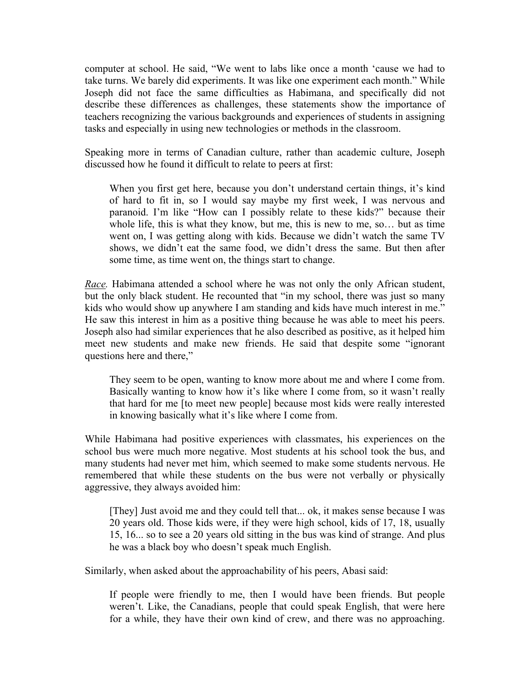computer at school. He said, "We went to labs like once a month 'cause we had to take turns. We barely did experiments. It was like one experiment each month." While Joseph did not face the same difficulties as Habimana, and specifically did not describe these differences as challenges, these statements show the importance of teachers recognizing the various backgrounds and experiences of students in assigning tasks and especially in using new technologies or methods in the classroom.

Speaking more in terms of Canadian culture, rather than academic culture, Joseph discussed how he found it difficult to relate to peers at first:

When you first get here, because you don't understand certain things, it's kind of hard to fit in, so I would say maybe my first week, I was nervous and paranoid. I'm like "How can I possibly relate to these kids?" because their whole life, this is what they know, but me, this is new to me, so… but as time went on, I was getting along with kids. Because we didn't watch the same TV shows, we didn't eat the same food, we didn't dress the same. But then after some time, as time went on, the things start to change.

*Race.* Habimana attended a school where he was not only the only African student, but the only black student. He recounted that "in my school, there was just so many kids who would show up anywhere I am standing and kids have much interest in me." He saw this interest in him as a positive thing because he was able to meet his peers. Joseph also had similar experiences that he also described as positive, as it helped him meet new students and make new friends. He said that despite some "ignorant questions here and there,"

They seem to be open, wanting to know more about me and where I come from. Basically wanting to know how it's like where I come from, so it wasn't really that hard for me [to meet new people] because most kids were really interested in knowing basically what it's like where I come from.

While Habimana had positive experiences with classmates, his experiences on the school bus were much more negative. Most students at his school took the bus, and many students had never met him, which seemed to make some students nervous. He remembered that while these students on the bus were not verbally or physically aggressive, they always avoided him:

[They] Just avoid me and they could tell that... ok, it makes sense because I was 20 years old. Those kids were, if they were high school, kids of 17, 18, usually 15, 16... so to see a 20 years old sitting in the bus was kind of strange. And plus he was a black boy who doesn't speak much English.

Similarly, when asked about the approachability of his peers, Abasi said:

If people were friendly to me, then I would have been friends. But people weren't. Like, the Canadians, people that could speak English, that were here for a while, they have their own kind of crew, and there was no approaching.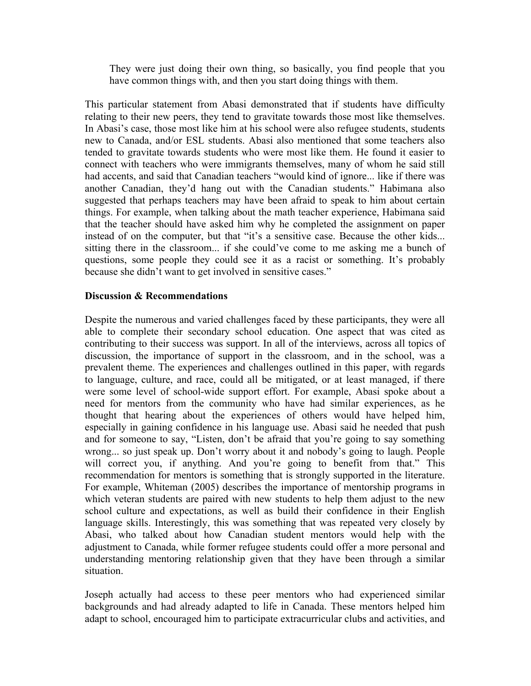They were just doing their own thing, so basically, you find people that you have common things with, and then you start doing things with them.

This particular statement from Abasi demonstrated that if students have difficulty relating to their new peers, they tend to gravitate towards those most like themselves. In Abasi's case, those most like him at his school were also refugee students, students new to Canada, and/or ESL students. Abasi also mentioned that some teachers also tended to gravitate towards students who were most like them. He found it easier to connect with teachers who were immigrants themselves, many of whom he said still had accents, and said that Canadian teachers "would kind of ignore... like if there was another Canadian, they'd hang out with the Canadian students." Habimana also suggested that perhaps teachers may have been afraid to speak to him about certain things. For example, when talking about the math teacher experience, Habimana said that the teacher should have asked him why he completed the assignment on paper instead of on the computer, but that "it's a sensitive case. Because the other kids... sitting there in the classroom... if she could've come to me asking me a bunch of questions, some people they could see it as a racist or something. It's probably because she didn't want to get involved in sensitive cases."

### **Discussion & Recommendations**

Despite the numerous and varied challenges faced by these participants, they were all able to complete their secondary school education. One aspect that was cited as contributing to their success was support. In all of the interviews, across all topics of discussion, the importance of support in the classroom, and in the school, was a prevalent theme. The experiences and challenges outlined in this paper, with regards to language, culture, and race, could all be mitigated, or at least managed, if there were some level of school-wide support effort. For example, Abasi spoke about a need for mentors from the community who have had similar experiences, as he thought that hearing about the experiences of others would have helped him, especially in gaining confidence in his language use. Abasi said he needed that push and for someone to say, "Listen, don't be afraid that you're going to say something wrong... so just speak up. Don't worry about it and nobody's going to laugh. People will correct you, if anything. And you're going to benefit from that." This recommendation for mentors is something that is strongly supported in the literature. For example, Whiteman (2005) describes the importance of mentorship programs in which veteran students are paired with new students to help them adjust to the new school culture and expectations, as well as build their confidence in their English language skills. Interestingly, this was something that was repeated very closely by Abasi, who talked about how Canadian student mentors would help with the adjustment to Canada, while former refugee students could offer a more personal and understanding mentoring relationship given that they have been through a similar situation.

Joseph actually had access to these peer mentors who had experienced similar backgrounds and had already adapted to life in Canada. These mentors helped him adapt to school, encouraged him to participate extracurricular clubs and activities, and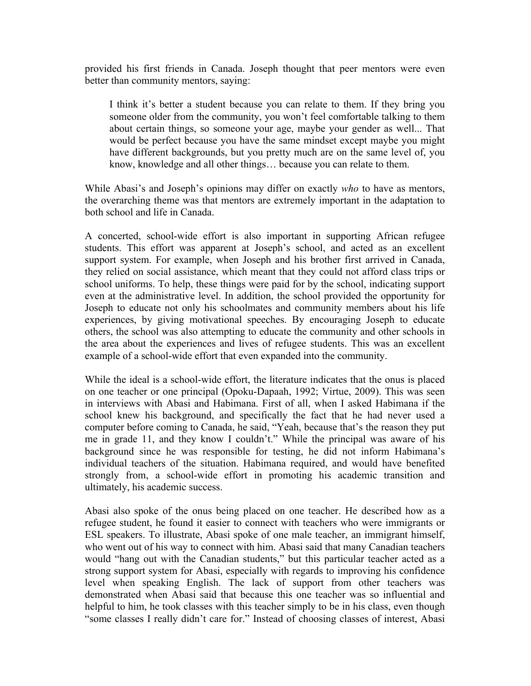provided his first friends in Canada. Joseph thought that peer mentors were even better than community mentors, saying:

I think it's better a student because you can relate to them. If they bring you someone older from the community, you won't feel comfortable talking to them about certain things, so someone your age, maybe your gender as well... That would be perfect because you have the same mindset except maybe you might have different backgrounds, but you pretty much are on the same level of, you know, knowledge and all other things… because you can relate to them.

While Abasi's and Joseph's opinions may differ on exactly *who* to have as mentors, the overarching theme was that mentors are extremely important in the adaptation to both school and life in Canada.

A concerted, school-wide effort is also important in supporting African refugee students. This effort was apparent at Joseph's school, and acted as an excellent support system. For example, when Joseph and his brother first arrived in Canada, they relied on social assistance, which meant that they could not afford class trips or school uniforms. To help, these things were paid for by the school, indicating support even at the administrative level. In addition, the school provided the opportunity for Joseph to educate not only his schoolmates and community members about his life experiences, by giving motivational speeches. By encouraging Joseph to educate others, the school was also attempting to educate the community and other schools in the area about the experiences and lives of refugee students. This was an excellent example of a school-wide effort that even expanded into the community.

While the ideal is a school-wide effort, the literature indicates that the onus is placed on one teacher or one principal (Opoku-Dapaah, 1992; Virtue, 2009). This was seen in interviews with Abasi and Habimana. First of all, when I asked Habimana if the school knew his background, and specifically the fact that he had never used a computer before coming to Canada, he said, "Yeah, because that's the reason they put me in grade 11, and they know I couldn't." While the principal was aware of his background since he was responsible for testing, he did not inform Habimana's individual teachers of the situation. Habimana required, and would have benefited strongly from, a school-wide effort in promoting his academic transition and ultimately, his academic success.

Abasi also spoke of the onus being placed on one teacher. He described how as a refugee student, he found it easier to connect with teachers who were immigrants or ESL speakers. To illustrate, Abasi spoke of one male teacher, an immigrant himself, who went out of his way to connect with him. Abasi said that many Canadian teachers would "hang out with the Canadian students," but this particular teacher acted as a strong support system for Abasi, especially with regards to improving his confidence level when speaking English. The lack of support from other teachers was demonstrated when Abasi said that because this one teacher was so influential and helpful to him, he took classes with this teacher simply to be in his class, even though "some classes I really didn't care for." Instead of choosing classes of interest, Abasi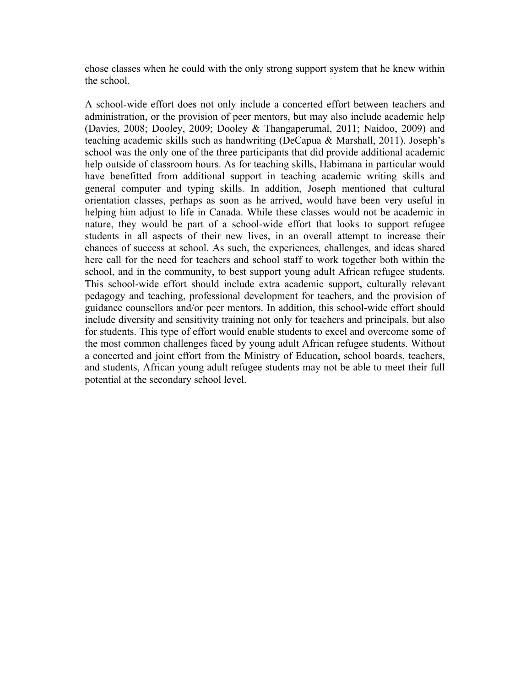chose classes when he could with the only strong support system that he knew within the school.

A school-wide effort does not only include a concerted effort between teachers and administration, or the provision of peer mentors, but may also include academic help (Davies, 2008; Dooley, 2009; Dooley & Thangaperumal, 2011; Naidoo, 2009) and teaching academic skills such as handwriting (DeCapua & Marshall, 2011). Joseph's school was the only one of the three participants that did provide additional academic help outside of classroom hours. As for teaching skills, Habimana in particular would have benefitted from additional support in teaching academic writing skills and general computer and typing skills. In addition, Joseph mentioned that cultural orientation classes, perhaps as soon as he arrived, would have been very useful in helping him adjust to life in Canada. While these classes would not be academic in nature, they would be part of a school-wide effort that looks to support refugee students in all aspects of their new lives, in an overall attempt to increase their chances of success at school. As such, the experiences, challenges, and ideas shared here call for the need for teachers and school staff to work together both within the school, and in the community, to best support young adult African refugee students. This school-wide effort should include extra academic support, culturally relevant pedagogy and teaching, professional development for teachers, and the provision of guidance counsellors and/or peer mentors. In addition, this school-wide effort should include diversity and sensitivity training not only for teachers and principals, but also for students. This type of effort would enable students to excel and overcome some of the most common challenges faced by young adult African refugee students. Without a concerted and joint effort from the Ministry of Education, school boards, teachers, and students, African young adult refugee students may not be able to meet their full potential at the secondary school level.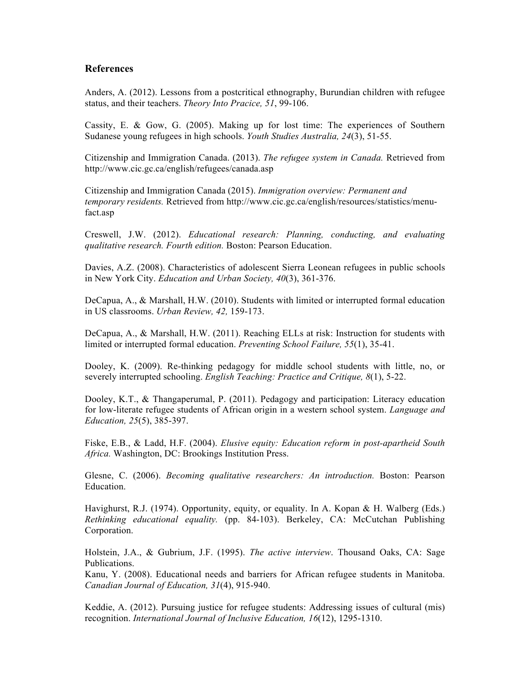#### **References**

Anders, A. (2012). Lessons from a postcritical ethnography, Burundian children with refugee status, and their teachers. *Theory Into Pracice, 51*, 99-106.

Cassity, E. & Gow, G. (2005). Making up for lost time: The experiences of Southern Sudanese young refugees in high schools. *Youth Studies Australia, 24*(3), 51-55.

Citizenship and Immigration Canada. (2013). *The refugee system in Canada.* Retrieved from http://www.cic.gc.ca/english/refugees/canada.asp

Citizenship and Immigration Canada (2015). *Immigration overview: Permanent and temporary residents.* Retrieved from http://www.cic.gc.ca/english/resources/statistics/menufact.asp

Creswell, J.W. (2012). *Educational research: Planning, conducting, and evaluating qualitative research. Fourth edition.* Boston: Pearson Education.

Davies, A.Z. (2008). Characteristics of adolescent Sierra Leonean refugees in public schools in New York City. *Education and Urban Society, 40*(3), 361-376.

DeCapua, A., & Marshall, H.W. (2010). Students with limited or interrupted formal education in US classrooms. *Urban Review, 42,* 159-173.

DeCapua, A., & Marshall, H.W. (2011). Reaching ELLs at risk: Instruction for students with limited or interrupted formal education. *Preventing School Failure, 55*(1), 35-41.

Dooley, K. (2009). Re-thinking pedagogy for middle school students with little, no, or severely interrupted schooling. *English Teaching: Practice and Critique, 8*(1), 5-22.

Dooley, K.T., & Thangaperumal, P. (2011). Pedagogy and participation: Literacy education for low-literate refugee students of African origin in a western school system. *Language and Education, 25*(5), 385-397.

Fiske, E.B., & Ladd, H.F. (2004). *Elusive equity: Education reform in post-apartheid South Africa.* Washington, DC: Brookings Institution Press.

Glesne, C. (2006). *Becoming qualitative researchers: An introduction.* Boston: Pearson Education.

Havighurst, R.J. (1974). Opportunity, equity, or equality. In A. Kopan & H. Walberg (Eds.) *Rethinking educational equality.* (pp. 84-103). Berkeley, CA: McCutchan Publishing Corporation.

Holstein, J.A., & Gubrium, J.F. (1995). *The active interview*. Thousand Oaks, CA: Sage Publications.

Kanu, Y. (2008). Educational needs and barriers for African refugee students in Manitoba. *Canadian Journal of Education, 31*(4), 915-940.

Keddie, A. (2012). Pursuing justice for refugee students: Addressing issues of cultural (mis) recognition. *International Journal of Inclusive Education, 16*(12), 1295-1310.